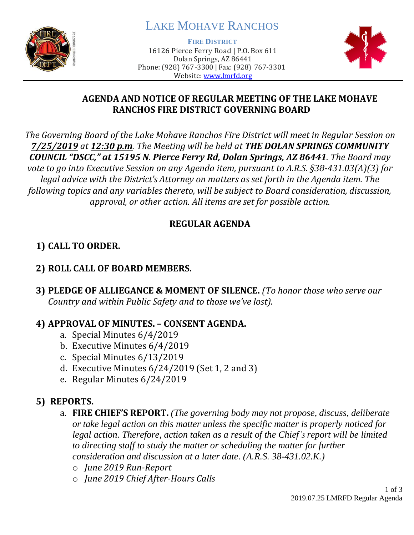

# LAKE MOHAVE RANCHOS

**FIRE DISTRICT**

16126 Pierce Ferry Road | P.O. Box 611 Dolan Springs, AZ 86441 Phone: (928) 767-3300 | Fax: (928) 767-3301 Website: [www.lmrfd.org](http://www.lmrfd.org/)



#### **AGENDA AND NOTICE OF REGULAR MEETING OF THE LAKE MOHAVE RANCHOS FIRE DISTRICT GOVERNING BOARD**

*The Governing Board of the Lake Mohave Ranchos Fire District will meet in Regular Session on 7/25/2019 at 12:30 p.m. The Meeting will be held at THE DOLAN SPRINGS COMMUNITY COUNCIL "DSCC," at 15195 N. Pierce Ferry Rd, Dolan Springs, AZ 86441. The Board may vote to go into Executive Session on any Agenda item, pursuant to A.R.S. §38-431.03(A)(3) for legal advice with the District's Attorney on matters as set forth in the Agenda item. The following topics and any variables thereto, will be subject to Board consideration, discussion, approval, or other action. All items are set for possible action.*

## **REGULAR AGENDA**

## **1) CALL TO ORDER.**

## **2) ROLL CALL OF BOARD MEMBERS.**

**3) PLEDGE OF ALLIEGANCE & MOMENT OF SILENCE.** *(To honor those who serve our Country and within Public Safety and to those we've lost).*

## **4) APPROVAL OF MINUTES. – CONSENT AGENDA.**

- a. Special Minutes 6/4/2019
- b. Executive Minutes 6/4/2019
- c. Special Minutes 6/13/2019
- d. Executive Minutes 6/24/2019 (Set 1, 2 and 3)
- e. Regular Minutes 6/24/2019

## **5) REPORTS.**

- a. **FIRE CHIEF'S REPORT.** *(The governing body may not propose, discuss, deliberate or take legal action on this matter unless the specific matter is properly noticed for legal action. Therefore, action taken as a result of the Chief's report will be limited to directing staff to study the matter or scheduling the matter for further consideration and discussion at a later date. (A.R.S. 38-431.02.K.)*
	- o *June 2019 Run-Report*
	- o *June 2019 Chief After-Hours Calls*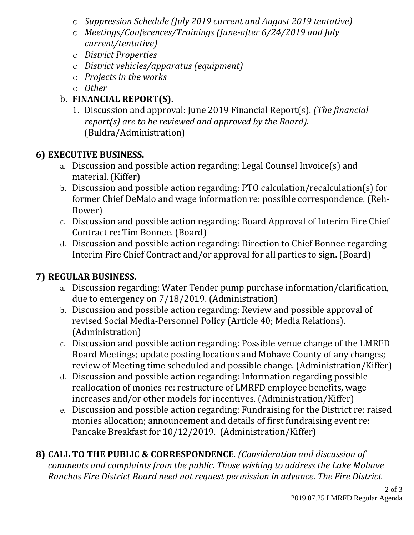- o *Suppression Schedule (July 2019 current and August 2019 tentative)*
- o *Meetings/Conferences/Trainings (June-after 6/24/2019 and July current/tentative)*
- o *District Properties*
- o *District vehicles/apparatus (equipment)*
- o *Projects in the works*
- o *Other*

## b. **FINANCIAL REPORT(S).**

1. Discussion and approval: June 2019 Financial Report(s). *(The financial report(s) are to be reviewed and approved by the Board).* (Buldra/Administration)

## **6) EXECUTIVE BUSINESS.**

- a. Discussion and possible action regarding: Legal Counsel Invoice(s) and material. (Kiffer)
- b. Discussion and possible action regarding: PTO calculation/recalculation(s) for former Chief DeMaio and wage information re: possible correspondence. (Reh-Bower)
- c. Discussion and possible action regarding: Board Approval of Interim Fire Chief Contract re: Tim Bonnee. (Board)
- d. Discussion and possible action regarding: Direction to Chief Bonnee regarding Interim Fire Chief Contract and/or approval for all parties to sign. (Board)

## **7) REGULAR BUSINESS.**

- a. Discussion regarding: Water Tender pump purchase information/clarification, due to emergency on 7/18/2019. (Administration)
- b. Discussion and possible action regarding: Review and possible approval of revised Social Media-Personnel Policy (Article 40; Media Relations). (Administration)
- c. Discussion and possible action regarding: Possible venue change of the LMRFD Board Meetings; update posting locations and Mohave County of any changes; review of Meeting time scheduled and possible change. (Administration/Kiffer)
- d. Discussion and possible action regarding: Information regarding possible reallocation of monies re: restructure of LMRFD employee benefits, wage increases and/or other models for incentives. (Administration/Kiffer)
- e. Discussion and possible action regarding: Fundraising for the District re: raised monies allocation; announcement and details of first fundraising event re: Pancake Breakfast for 10/12/2019. (Administration/Kiffer)

**8) CALL TO THE PUBLIC & CORRESPONDENCE**. *(Consideration and discussion of comments and complaints from the public. Those wishing to address the Lake Mohave Ranchos Fire District Board need not request permission in advance. The Fire District*